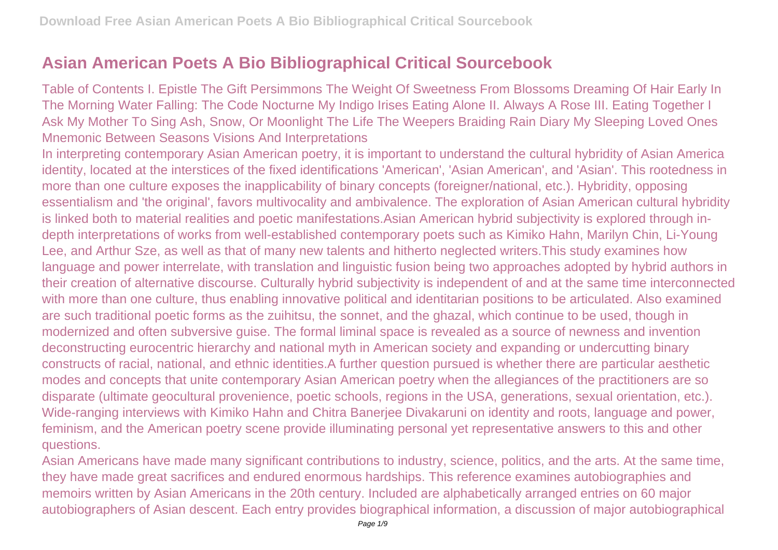## **Asian American Poets A Bio Bibliographical Critical Sourcebook**

Table of Contents I. Epistle The Gift Persimmons The Weight Of Sweetness From Blossoms Dreaming Of Hair Early In The Morning Water Falling: The Code Nocturne My Indigo Irises Eating Alone II. Always A Rose III. Eating Together I Ask My Mother To Sing Ash, Snow, Or Moonlight The Life The Weepers Braiding Rain Diary My Sleeping Loved Ones Mnemonic Between Seasons Visions And Interpretations

In interpreting contemporary Asian American poetry, it is important to understand the cultural hybridity of Asian America identity, located at the interstices of the fixed identifications 'American', 'Asian American', and 'Asian'. This rootedness in more than one culture exposes the inapplicability of binary concepts (foreigner/national, etc.). Hybridity, opposing essentialism and 'the original', favors multivocality and ambivalence. The exploration of Asian American cultural hybridity is linked both to material realities and poetic manifestations.Asian American hybrid subjectivity is explored through indepth interpretations of works from well-established contemporary poets such as Kimiko Hahn, Marilyn Chin, Li-Young Lee, and Arthur Sze, as well as that of many new talents and hitherto neglected writers.This study examines how language and power interrelate, with translation and linguistic fusion being two approaches adopted by hybrid authors in their creation of alternative discourse. Culturally hybrid subjectivity is independent of and at the same time interconnected with more than one culture, thus enabling innovative political and identitarian positions to be articulated. Also examined are such traditional poetic forms as the zuihitsu, the sonnet, and the ghazal, which continue to be used, though in modernized and often subversive guise. The formal liminal space is revealed as a source of newness and invention deconstructing eurocentric hierarchy and national myth in American society and expanding or undercutting binary constructs of racial, national, and ethnic identities.A further question pursued is whether there are particular aesthetic modes and concepts that unite contemporary Asian American poetry when the allegiances of the practitioners are so disparate (ultimate geocultural provenience, poetic schools, regions in the USA, generations, sexual orientation, etc.). Wide-ranging interviews with Kimiko Hahn and Chitra Banerjee Divakaruni on identity and roots, language and power, feminism, and the American poetry scene provide illuminating personal yet representative answers to this and other questions.

Asian Americans have made many significant contributions to industry, science, politics, and the arts. At the same time, they have made great sacrifices and endured enormous hardships. This reference examines autobiographies and memoirs written by Asian Americans in the 20th century. Included are alphabetically arranged entries on 60 major autobiographers of Asian descent. Each entry provides biographical information, a discussion of major autobiographical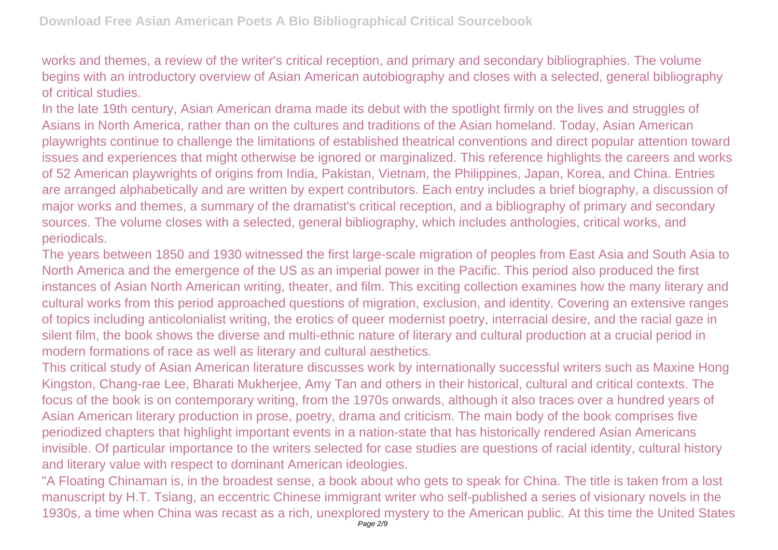works and themes, a review of the writer's critical reception, and primary and secondary bibliographies. The volume begins with an introductory overview of Asian American autobiography and closes with a selected, general bibliography of critical studies.

In the late 19th century, Asian American drama made its debut with the spotlight firmly on the lives and struggles of Asians in North America, rather than on the cultures and traditions of the Asian homeland. Today, Asian American playwrights continue to challenge the limitations of established theatrical conventions and direct popular attention toward issues and experiences that might otherwise be ignored or marginalized. This reference highlights the careers and works of 52 American playwrights of origins from India, Pakistan, Vietnam, the Philippines, Japan, Korea, and China. Entries are arranged alphabetically and are written by expert contributors. Each entry includes a brief biography, a discussion of major works and themes, a summary of the dramatist's critical reception, and a bibliography of primary and secondary sources. The volume closes with a selected, general bibliography, which includes anthologies, critical works, and periodicals.

The years between 1850 and 1930 witnessed the first large-scale migration of peoples from East Asia and South Asia to North America and the emergence of the US as an imperial power in the Pacific. This period also produced the first instances of Asian North American writing, theater, and film. This exciting collection examines how the many literary and cultural works from this period approached questions of migration, exclusion, and identity. Covering an extensive ranges of topics including anticolonialist writing, the erotics of queer modernist poetry, interracial desire, and the racial gaze in silent film, the book shows the diverse and multi-ethnic nature of literary and cultural production at a crucial period in modern formations of race as well as literary and cultural aesthetics.

This critical study of Asian American literature discusses work by internationally successful writers such as Maxine Hong Kingston, Chang-rae Lee, Bharati Mukherjee, Amy Tan and others in their historical, cultural and critical contexts. The focus of the book is on contemporary writing, from the 1970s onwards, although it also traces over a hundred years of Asian American literary production in prose, poetry, drama and criticism. The main body of the book comprises five periodized chapters that highlight important events in a nation-state that has historically rendered Asian Americans invisible. Of particular importance to the writers selected for case studies are questions of racial identity, cultural history and literary value with respect to dominant American ideologies.

"A Floating Chinaman is, in the broadest sense, a book about who gets to speak for China. The title is taken from a lost manuscript by H.T. Tsiang, an eccentric Chinese immigrant writer who self-published a series of visionary novels in the 1930s, a time when China was recast as a rich, unexplored mystery to the American public. At this time the United States Page 2/9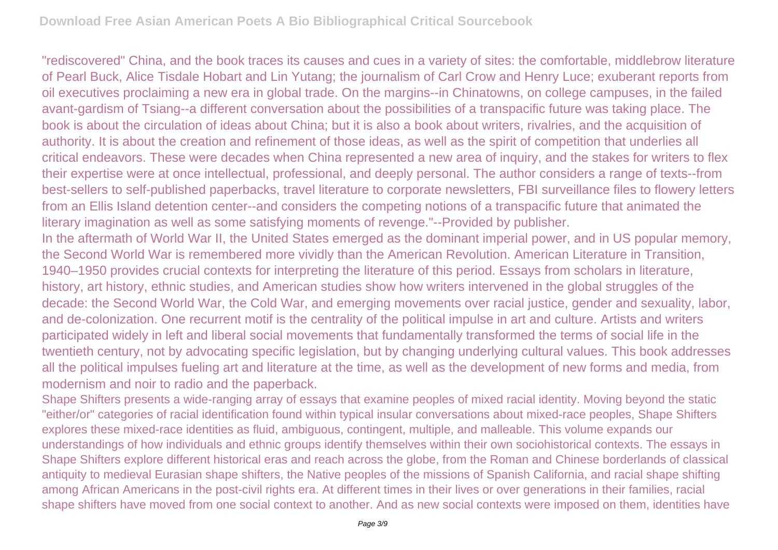"rediscovered" China, and the book traces its causes and cues in a variety of sites: the comfortable, middlebrow literature of Pearl Buck, Alice Tisdale Hobart and Lin Yutang; the journalism of Carl Crow and Henry Luce; exuberant reports from oil executives proclaiming a new era in global trade. On the margins--in Chinatowns, on college campuses, in the failed avant-gardism of Tsiang--a different conversation about the possibilities of a transpacific future was taking place. The book is about the circulation of ideas about China; but it is also a book about writers, rivalries, and the acquisition of authority. It is about the creation and refinement of those ideas, as well as the spirit of competition that underlies all critical endeavors. These were decades when China represented a new area of inquiry, and the stakes for writers to flex their expertise were at once intellectual, professional, and deeply personal. The author considers a range of texts--from best-sellers to self-published paperbacks, travel literature to corporate newsletters, FBI surveillance files to flowery letters from an Ellis Island detention center--and considers the competing notions of a transpacific future that animated the literary imagination as well as some satisfying moments of revenge."--Provided by publisher.

In the aftermath of World War II, the United States emerged as the dominant imperial power, and in US popular memory, the Second World War is remembered more vividly than the American Revolution. American Literature in Transition, 1940–1950 provides crucial contexts for interpreting the literature of this period. Essays from scholars in literature, history, art history, ethnic studies, and American studies show how writers intervened in the global struggles of the decade: the Second World War, the Cold War, and emerging movements over racial justice, gender and sexuality, labor, and de-colonization. One recurrent motif is the centrality of the political impulse in art and culture. Artists and writers participated widely in left and liberal social movements that fundamentally transformed the terms of social life in the twentieth century, not by advocating specific legislation, but by changing underlying cultural values. This book addresses all the political impulses fueling art and literature at the time, as well as the development of new forms and media, from modernism and noir to radio and the paperback.

Shape Shifters presents a wide-ranging array of essays that examine peoples of mixed racial identity. Moving beyond the static "either/or" categories of racial identification found within typical insular conversations about mixed-race peoples, Shape Shifters explores these mixed-race identities as fluid, ambiguous, contingent, multiple, and malleable. This volume expands our understandings of how individuals and ethnic groups identify themselves within their own sociohistorical contexts. The essays in Shape Shifters explore different historical eras and reach across the globe, from the Roman and Chinese borderlands of classical antiquity to medieval Eurasian shape shifters, the Native peoples of the missions of Spanish California, and racial shape shifting among African Americans in the post-civil rights era. At different times in their lives or over generations in their families, racial shape shifters have moved from one social context to another. And as new social contexts were imposed on them, identities have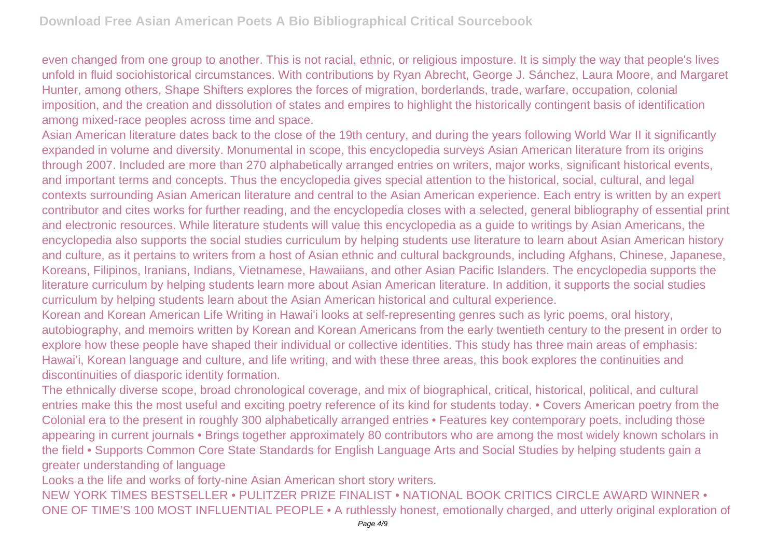even changed from one group to another. This is not racial, ethnic, or religious imposture. It is simply the way that people's lives unfold in fluid sociohistorical circumstances. With contributions by Ryan Abrecht, George J. Sánchez, Laura Moore, and Margaret Hunter, among others, Shape Shifters explores the forces of migration, borderlands, trade, warfare, occupation, colonial imposition, and the creation and dissolution of states and empires to highlight the historically contingent basis of identification among mixed-race peoples across time and space.

Asian American literature dates back to the close of the 19th century, and during the years following World War II it significantly expanded in volume and diversity. Monumental in scope, this encyclopedia surveys Asian American literature from its origins through 2007. Included are more than 270 alphabetically arranged entries on writers, major works, significant historical events, and important terms and concepts. Thus the encyclopedia gives special attention to the historical, social, cultural, and legal contexts surrounding Asian American literature and central to the Asian American experience. Each entry is written by an expert contributor and cites works for further reading, and the encyclopedia closes with a selected, general bibliography of essential print and electronic resources. While literature students will value this encyclopedia as a guide to writings by Asian Americans, the encyclopedia also supports the social studies curriculum by helping students use literature to learn about Asian American history and culture, as it pertains to writers from a host of Asian ethnic and cultural backgrounds, including Afghans, Chinese, Japanese, Koreans, Filipinos, Iranians, Indians, Vietnamese, Hawaiians, and other Asian Pacific Islanders. The encyclopedia supports the literature curriculum by helping students learn more about Asian American literature. In addition, it supports the social studies curriculum by helping students learn about the Asian American historical and cultural experience.

Korean and Korean American Life Writing in Hawai'i looks at self-representing genres such as lyric poems, oral history, autobiography, and memoirs written by Korean and Korean Americans from the early twentieth century to the present in order to explore how these people have shaped their individual or collective identities. This study has three main areas of emphasis: Hawai'i, Korean language and culture, and life writing, and with these three areas, this book explores the continuities and discontinuities of diasporic identity formation.

The ethnically diverse scope, broad chronological coverage, and mix of biographical, critical, historical, political, and cultural entries make this the most useful and exciting poetry reference of its kind for students today. • Covers American poetry from the Colonial era to the present in roughly 300 alphabetically arranged entries • Features key contemporary poets, including those appearing in current journals • Brings together approximately 80 contributors who are among the most widely known scholars in the field • Supports Common Core State Standards for English Language Arts and Social Studies by helping students gain a greater understanding of language

Looks a the life and works of forty-nine Asian American short story writers.

NEW YORK TIMES BESTSELLER • PULITZER PRIZE FINALIST • NATIONAL BOOK CRITICS CIRCLE AWARD WINNER • ONE OF TIME'S 100 MOST INFLUENTIAL PEOPLE • A ruthlessly honest, emotionally charged, and utterly original exploration of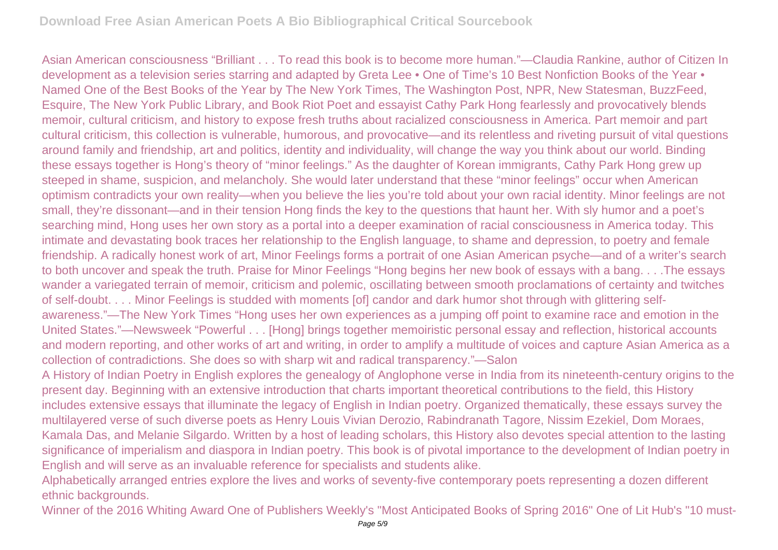Asian American consciousness "Brilliant . . . To read this book is to become more human."—Claudia Rankine, author of Citizen In development as a television series starring and adapted by Greta Lee • One of Time's 10 Best Nonfiction Books of the Year • Named One of the Best Books of the Year by The New York Times, The Washington Post, NPR, New Statesman, BuzzFeed, Esquire, The New York Public Library, and Book Riot Poet and essayist Cathy Park Hong fearlessly and provocatively blends memoir, cultural criticism, and history to expose fresh truths about racialized consciousness in America. Part memoir and part cultural criticism, this collection is vulnerable, humorous, and provocative—and its relentless and riveting pursuit of vital questions around family and friendship, art and politics, identity and individuality, will change the way you think about our world. Binding these essays together is Hong's theory of "minor feelings." As the daughter of Korean immigrants, Cathy Park Hong grew up steeped in shame, suspicion, and melancholy. She would later understand that these "minor feelings" occur when American optimism contradicts your own reality—when you believe the lies you're told about your own racial identity. Minor feelings are not small, they're dissonant—and in their tension Hong finds the key to the questions that haunt her. With sly humor and a poet's searching mind, Hong uses her own story as a portal into a deeper examination of racial consciousness in America today. This intimate and devastating book traces her relationship to the English language, to shame and depression, to poetry and female friendship. A radically honest work of art, Minor Feelings forms a portrait of one Asian American psyche—and of a writer's search to both uncover and speak the truth. Praise for Minor Feelings "Hong begins her new book of essays with a bang. . . .The essays wander a variegated terrain of memoir, criticism and polemic, oscillating between smooth proclamations of certainty and twitches of self-doubt. . . . Minor Feelings is studded with moments [of] candor and dark humor shot through with glittering selfawareness."—The New York Times "Hong uses her own experiences as a jumping off point to examine race and emotion in the United States."—Newsweek "Powerful . . . [Hong] brings together memoiristic personal essay and reflection, historical accounts and modern reporting, and other works of art and writing, in order to amplify a multitude of voices and capture Asian America as a collection of contradictions. She does so with sharp wit and radical transparency."—Salon

A History of Indian Poetry in English explores the genealogy of Anglophone verse in India from its nineteenth-century origins to the present day. Beginning with an extensive introduction that charts important theoretical contributions to the field, this History includes extensive essays that illuminate the legacy of English in Indian poetry. Organized thematically, these essays survey the multilayered verse of such diverse poets as Henry Louis Vivian Derozio, Rabindranath Tagore, Nissim Ezekiel, Dom Moraes, Kamala Das, and Melanie Silgardo. Written by a host of leading scholars, this History also devotes special attention to the lasting significance of imperialism and diaspora in Indian poetry. This book is of pivotal importance to the development of Indian poetry in English and will serve as an invaluable reference for specialists and students alike.

Alphabetically arranged entries explore the lives and works of seventy-five contemporary poets representing a dozen different ethnic backgrounds.

Winner of the 2016 Whiting Award One of Publishers Weekly's "Most Anticipated Books of Spring 2016" One of Lit Hub's "10 must-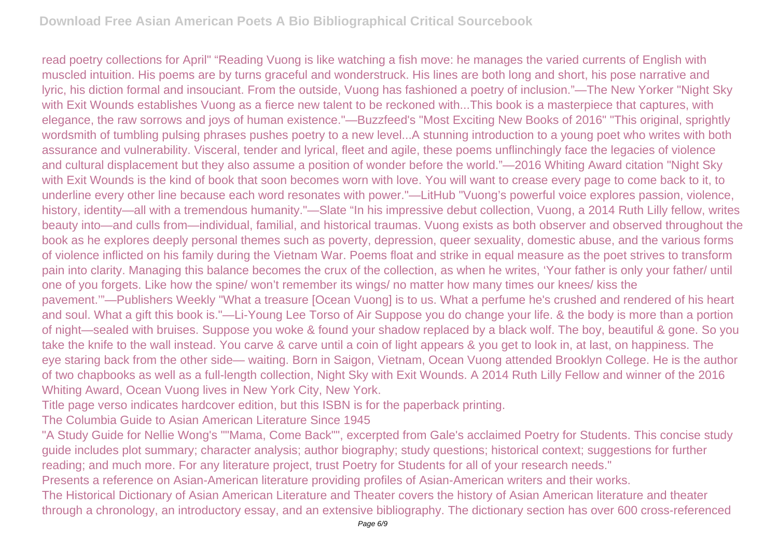read poetry collections for April" "Reading Vuong is like watching a fish move: he manages the varied currents of English with muscled intuition. His poems are by turns graceful and wonderstruck. His lines are both long and short, his pose narrative and lyric, his diction formal and insouciant. From the outside, Vuong has fashioned a poetry of inclusion."—The New Yorker "Night Sky with Exit Wounds establishes Vuong as a fierce new talent to be reckoned with...This book is a masterpiece that captures, with elegance, the raw sorrows and joys of human existence."—Buzzfeed's "Most Exciting New Books of 2016" "This original, sprightly wordsmith of tumbling pulsing phrases pushes poetry to a new level...A stunning introduction to a young poet who writes with both assurance and vulnerability. Visceral, tender and lyrical, fleet and agile, these poems unflinchingly face the legacies of violence and cultural displacement but they also assume a position of wonder before the world."—2016 Whiting Award citation "Night Sky with Exit Wounds is the kind of book that soon becomes worn with love. You will want to crease every page to come back to it, to underline every other line because each word resonates with power."—LitHub "Vuong's powerful voice explores passion, violence, history, identity—all with a tremendous humanity."—Slate "In his impressive debut collection, Vuong, a 2014 Ruth Lilly fellow, writes beauty into—and culls from—individual, familial, and historical traumas. Vuong exists as both observer and observed throughout the book as he explores deeply personal themes such as poverty, depression, queer sexuality, domestic abuse, and the various forms of violence inflicted on his family during the Vietnam War. Poems float and strike in equal measure as the poet strives to transform pain into clarity. Managing this balance becomes the crux of the collection, as when he writes, 'Your father is only your father/ until one of you forgets. Like how the spine/ won't remember its wings/ no matter how many times our knees/ kiss the pavement.'"—Publishers Weekly "What a treasure [Ocean Vuong] is to us. What a perfume he's crushed and rendered of his heart and soul. What a gift this book is."—Li-Young Lee Torso of Air Suppose you do change your life. & the body is more than a portion of night—sealed with bruises. Suppose you woke & found your shadow replaced by a black wolf. The boy, beautiful & gone. So you take the knife to the wall instead. You carve & carve until a coin of light appears & you get to look in, at last, on happiness. The eye staring back from the other side— waiting. Born in Saigon, Vietnam, Ocean Vuong attended Brooklyn College. He is the author of two chapbooks as well as a full-length collection, Night Sky with Exit Wounds. A 2014 Ruth Lilly Fellow and winner of the 2016 Whiting Award, Ocean Vuong lives in New York City, New York.

Title page verso indicates hardcover edition, but this ISBN is for the paperback printing.

The Columbia Guide to Asian American Literature Since 1945

"A Study Guide for Nellie Wong's ""Mama, Come Back"", excerpted from Gale's acclaimed Poetry for Students. This concise study guide includes plot summary; character analysis; author biography; study questions; historical context; suggestions for further reading; and much more. For any literature project, trust Poetry for Students for all of your research needs."

Presents a reference on Asian-American literature providing profiles of Asian-American writers and their works.

The Historical Dictionary of Asian American Literature and Theater covers the history of Asian American literature and theater through a chronology, an introductory essay, and an extensive bibliography. The dictionary section has over 600 cross-referenced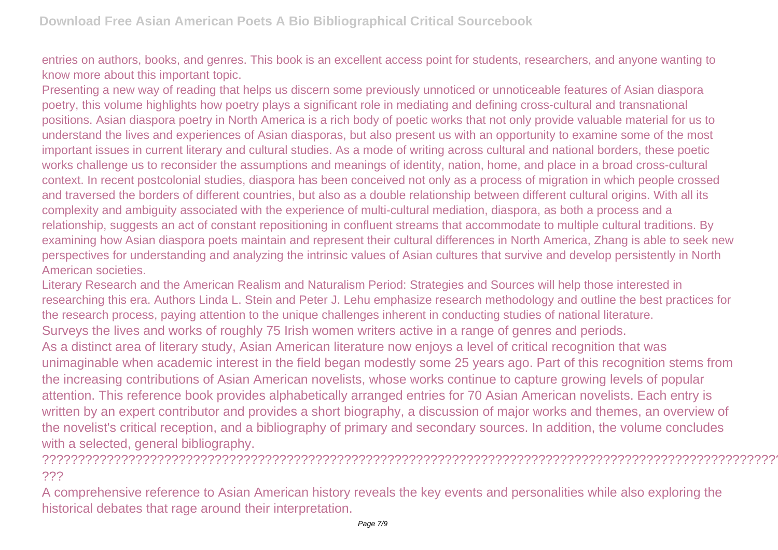entries on authors, books, and genres. This book is an excellent access point for students, researchers, and anyone wanting to know more about this important topic.

Presenting a new way of reading that helps us discern some previously unnoticed or unnoticeable features of Asian diaspora poetry, this volume highlights how poetry plays a significant role in mediating and defining cross-cultural and transnational positions. Asian diaspora poetry in North America is a rich body of poetic works that not only provide valuable material for us to understand the lives and experiences of Asian diasporas, but also present us with an opportunity to examine some of the most important issues in current literary and cultural studies. As a mode of writing across cultural and national borders, these poetic works challenge us to reconsider the assumptions and meanings of identity, nation, home, and place in a broad cross-cultural context. In recent postcolonial studies, diaspora has been conceived not only as a process of migration in which people crossed and traversed the borders of different countries, but also as a double relationship between different cultural origins. With all its complexity and ambiguity associated with the experience of multi-cultural mediation, diaspora, as both a process and a relationship, suggests an act of constant repositioning in confluent streams that accommodate to multiple cultural traditions. By examining how Asian diaspora poets maintain and represent their cultural differences in North America, Zhang is able to seek new perspectives for understanding and analyzing the intrinsic values of Asian cultures that survive and develop persistently in North American societies.

Literary Research and the American Realism and Naturalism Period: Strategies and Sources will help those interested in researching this era. Authors Linda L. Stein and Peter J. Lehu emphasize research methodology and outline the best practices for the research process, paying attention to the unique challenges inherent in conducting studies of national literature. Surveys the lives and works of roughly 75 Irish women writers active in a range of genres and periods. As a distinct area of literary study, Asian American literature now enjoys a level of critical recognition that was unimaginable when academic interest in the field began modestly some 25 years ago. Part of this recognition stems from the increasing contributions of Asian American novelists, whose works continue to capture growing levels of popular attention. This reference book provides alphabetically arranged entries for 70 Asian American novelists. Each entry is written by an expert contributor and provides a short biography, a discussion of major works and themes, an overview of the novelist's critical reception, and a bibliography of primary and secondary sources. In addition, the volume concludes with a selected, general bibliography.

## ???????????????????????????????????????????????????????????????????????????????????????????????????????? ???

A comprehensive reference to Asian American history reveals the key events and personalities while also exploring the historical debates that rage around their interpretation.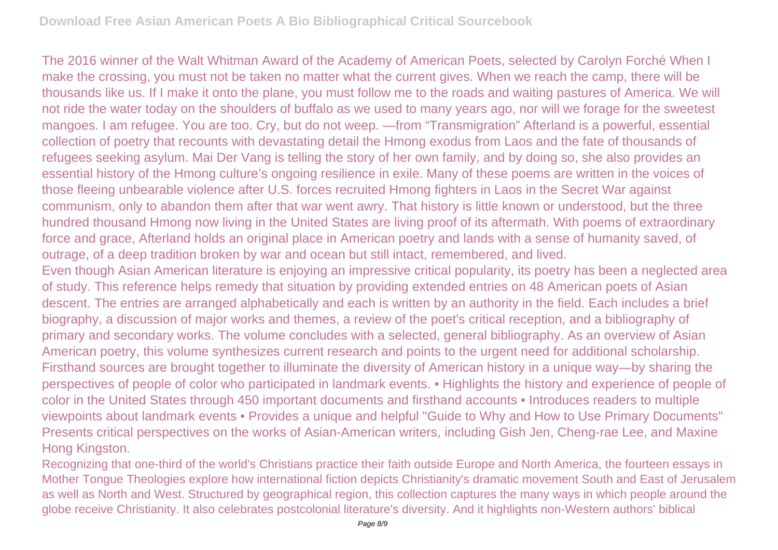The 2016 winner of the Walt Whitman Award of the Academy of American Poets, selected by Carolyn Forché When I make the crossing, you must not be taken no matter what the current gives. When we reach the camp, there will be thousands like us. If I make it onto the plane, you must follow me to the roads and waiting pastures of America. We will not ride the water today on the shoulders of buffalo as we used to many years ago, nor will we forage for the sweetest mangoes. I am refugee. You are too. Cry, but do not weep. —from "Transmigration" Afterland is a powerful, essential collection of poetry that recounts with devastating detail the Hmong exodus from Laos and the fate of thousands of refugees seeking asylum. Mai Der Vang is telling the story of her own family, and by doing so, she also provides an essential history of the Hmong culture's ongoing resilience in exile. Many of these poems are written in the voices of those fleeing unbearable violence after U.S. forces recruited Hmong fighters in Laos in the Secret War against communism, only to abandon them after that war went awry. That history is little known or understood, but the three hundred thousand Hmong now living in the United States are living proof of its aftermath. With poems of extraordinary force and grace, Afterland holds an original place in American poetry and lands with a sense of humanity saved, of outrage, of a deep tradition broken by war and ocean but still intact, remembered, and lived. Even though Asian American literature is enjoying an impressive critical popularity, its poetry has been a neglected area of study. This reference helps remedy that situation by providing extended entries on 48 American poets of Asian descent. The entries are arranged alphabetically and each is written by an authority in the field. Each includes a brief biography, a discussion of major works and themes, a review of the poet's critical reception, and a bibliography of primary and secondary works. The volume concludes with a selected, general bibliography. As an overview of Asian American poetry, this volume synthesizes current research and points to the urgent need for additional scholarship. Firsthand sources are brought together to illuminate the diversity of American history in a unique way—by sharing the perspectives of people of color who participated in landmark events. • Highlights the history and experience of people of color in the United States through 450 important documents and firsthand accounts • Introduces readers to multiple viewpoints about landmark events • Provides a unique and helpful "Guide to Why and How to Use Primary Documents" Presents critical perspectives on the works of Asian-American writers, including Gish Jen, Cheng-rae Lee, and Maxine Hong Kingston.

Recognizing that one-third of the world's Christians practice their faith outside Europe and North America, the fourteen essays in Mother Tongue Theologies explore how international fiction depicts Christianity's dramatic movement South and East of Jerusalem as well as North and West. Structured by geographical region, this collection captures the many ways in which people around the globe receive Christianity. It also celebrates postcolonial literature's diversity. And it highlights non-Western authors' biblical